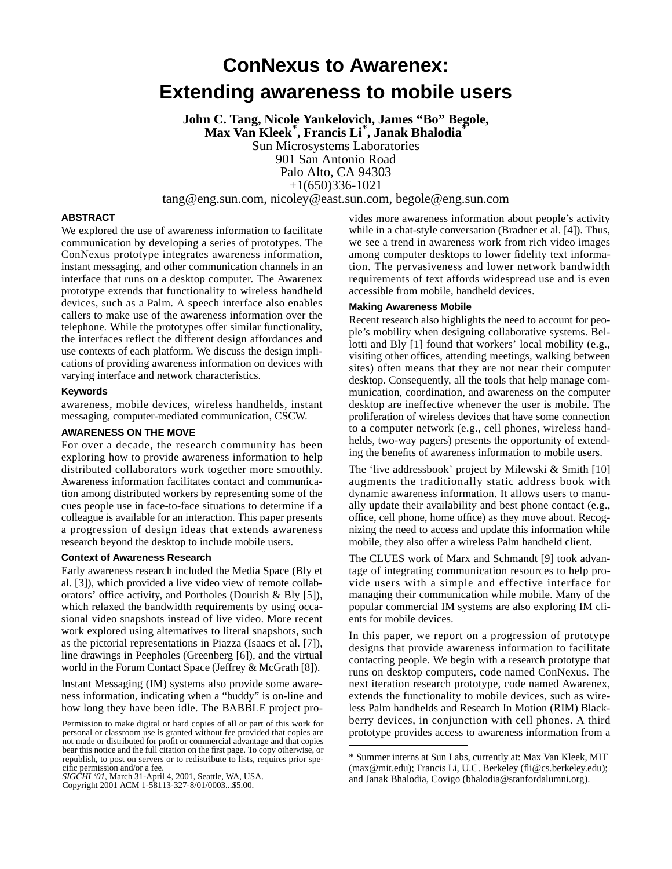# **ConNexus to Awarenex: Extending awareness to mobile users**

**John C. Tang, Nicole Yankelovich, James "Bo" Begole, Max Van Kleek\* , Francis Li\* , Janak Bhalodia\*** Sun Microsystems Laboratories 901 San Antonio Road Palo Alto, CA 94303 +1(650)336-1021

tang@eng.sun.com, nicoley@east.sun.com, begole@eng.sun.com

# **ABSTRACT**

We explored the use of awareness information to facilitate communication by developing a series of prototypes. The ConNexus prototype integrates awareness information, instant messaging, and other communication channels in an interface that runs on a desktop computer. The Awarenex prototype extends that functionality to wireless handheld devices, such as a Palm. A speech interface also enables callers to make use of the awareness information over the telephone. While the prototypes offer similar functionality, the interfaces reflect the different design affordances and use contexts of each platform. We discuss the design implications of providing awareness information on devices with varying interface and network characteristics.

# **Keywords**

awareness, mobile devices, wireless handhelds, instant messaging, computer-mediated communication, CSCW.

# **AWARENESS ON THE MOVE**

For over a decade, the research community has been exploring how to provide awareness information to help distributed collaborators work together more smoothly. Awareness information facilitates contact and communication among distributed workers by representing some of the cues people use in face-to-face situations to determine if a colleague is available for an interaction. This paper presents a progression of design ideas that extends awareness research beyond the desktop to include mobile users.

#### **Context of Awareness Research**

Early awareness research included the Media Space (Bly et al. [3]), which provided a live video view of remote collaborators' office activity, and Portholes (Dourish & Bly [5]), which relaxed the bandwidth requirements by using occasional video snapshots instead of live video. More recent work explored using alternatives to literal snapshots, such as the pictorial representations in Piazza (Isaacs et al. [7]), line drawings in Peepholes (Greenberg [6]), and the virtual world in the Forum Contact Space (Jeffrey & McGrath [8]).

Instant Messaging (IM) systems also provide some awareness information, indicating when a "buddy" is on-line and how long they have been idle. The BABBLE project pro-

Copyright 2001 ACM 1-58113-327-8/01/0003...\$5.00.

vides more awareness information about people's activity while in a chat-style conversation (Bradner et al. [4]). Thus, we see a trend in awareness work from rich video images among computer desktops to lower fidelity text information. The pervasiveness and lower network bandwidth requirements of text affords widespread use and is even accessible from mobile, handheld devices.

# **Making Awareness Mobile**

Recent research also highlights the need to account for people's mobility when designing collaborative systems. Bellotti and Bly [1] found that workers' local mobility (e.g., visiting other offices, attending meetings, walking between sites) often means that they are not near their computer desktop. Consequently, all the tools that help manage communication, coordination, and awareness on the computer desktop are ineffective whenever the user is mobile. The proliferation of wireless devices that have some connection to a computer network (e.g., cell phones, wireless handhelds, two-way pagers) presents the opportunity of extending the benefits of awareness information to mobile users.

The 'live addressbook' project by Milewski & Smith [10] augments the traditionally static address book with dynamic awareness information. It allows users to manually update their availability and best phone contact (e.g., office, cell phone, home office) as they move about. Recognizing the need to access and update this information while mobile, they also offer a wireless Palm handheld client.

The CLUES work of Marx and Schmandt [9] took advantage of integrating communication resources to help provide users with a simple and effective interface for managing their communication while mobile. Many of the popular commercial IM systems are also exploring IM clients for mobile devices.

In this paper, we report on a progression of prototype designs that provide awareness information to facilitate contacting people. We begin with a research prototype that runs on desktop computers, code named ConNexus. The next iteration research prototype, code named Awarenex, extends the functionality to mobile devices, such as wireless Palm handhelds and Research In Motion (RIM) Blackberry devices, in conjunction with cell phones. A third prototype provides access to awareness information from a

Permission to make digital or hard copies of all or part of this work for personal or classroom use is granted without fee provided that copies are not made or distributed for profit or commercial advantage and that copies bear this notice and the full citation on the first page. To copy otherwise, or republish, to post on servers or to redistribute to lists, requires prior specific permission and/or a fee.

*SIGCHI '01*, March 31-April 4, 2001, Seattle, WA, USA.

<sup>\*</sup> Summer interns at Sun Labs, currently at: Max Van Kleek, MIT (max@mit.edu); Francis Li, U.C. Berkeley (fli@cs.berkeley.edu); and Janak Bhalodia, Covigo (bhalodia@stanfordalumni.org).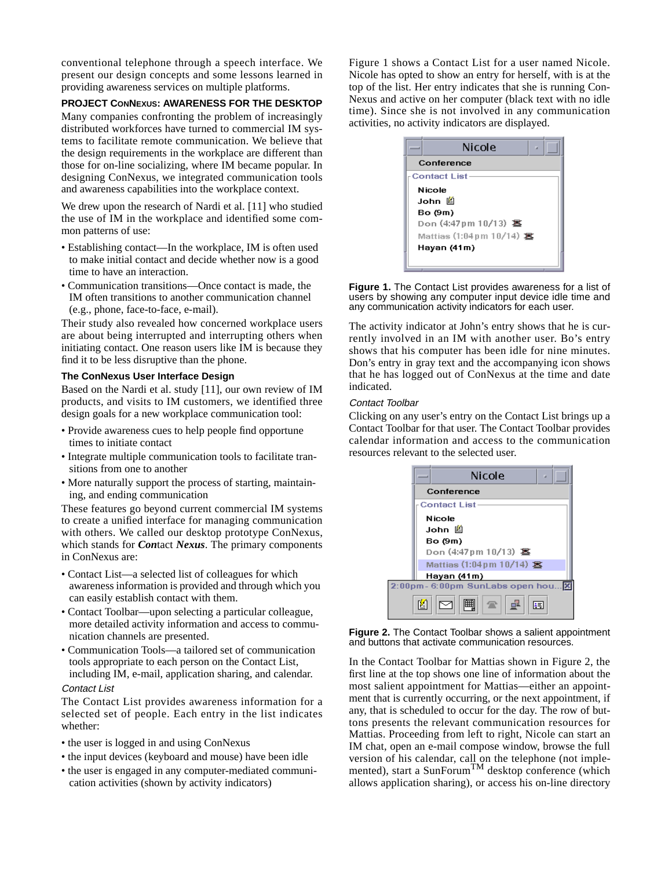conventional telephone through a speech interface. We present our design concepts and some lessons learned in providing awareness services on multiple platforms.

# **PROJECT CONNEXUS: AWARENESS FOR THE DESKTOP**

Many companies confronting the problem of increasingly distributed workforces have turned to commercial IM systems to facilitate remote communication. We believe that the design requirements in the workplace are different than those for on-line socializing, where IM became popular. In designing ConNexus, we integrated communication tools and awareness capabilities into the workplace context.

We drew upon the research of Nardi et al. [11] who studied the use of IM in the workplace and identified some common patterns of use:

- Establishing contact—In the workplace, IM is often used to make initial contact and decide whether now is a good time to have an interaction.
- Communication transitions—Once contact is made, the IM often transitions to another communication channel (e.g., phone, face-to-face, e-mail).

Their study also revealed how concerned workplace users are about being interrupted and interrupting others when initiating contact. One reason users like IM is because they find it to be less disruptive than the phone.

## **The ConNexus User Interface Design**

Based on the Nardi et al. study [11], our own review of IM products, and visits to IM customers, we identified three design goals for a new workplace communication tool:

- Provide awareness cues to help people find opportune times to initiate contact
- Integrate multiple communication tools to facilitate transitions from one to another
- More naturally support the process of starting, maintaining, and ending communication

These features go beyond current commercial IM systems to create a unified interface for managing communication with others. We called our desktop prototype ConNexus, which stands for *Con*tact *Nexus*. The primary components in ConNexus are:

- Contact List—a selected list of colleagues for which awareness information is provided and through which you can easily establish contact with them.
- Contact Toolbar—upon selecting a particular colleague, more detailed activity information and access to communication channels are presented.
- Communication Tools—a tailored set of communication tools appropriate to each person on the Contact List, including IM, e-mail, application sharing, and calendar.

# Contact List

The Contact List provides awareness information for a selected set of people. Each entry in the list indicates whether:

- the user is logged in and using ConNexus
- the input devices (keyboard and mouse) have been idle
- the user is engaged in any computer-mediated communication activities (shown by activity indicators)

Figure 1 shows a Contact List for a user named Nicole. Nicole has opted to show an entry for herself, with is at the top of the list. Her entry indicates that she is running Con-Nexus and active on her computer (black text with no idle time). Since she is not involved in any communication activities, no activity indicators are displayed.

|                     | Nicole<br>п               |  |  |
|---------------------|---------------------------|--|--|
| Conference          |                           |  |  |
| <b>Contact List</b> |                           |  |  |
| Nicole              |                           |  |  |
| John 陷              |                           |  |  |
| Bo (9m)             |                           |  |  |
|                     | Don (4:47pm 10/13) 塞      |  |  |
|                     | Mattias (1:04 pm 10/14) 塞 |  |  |
|                     | Hayan (41m)               |  |  |
|                     |                           |  |  |

**Figure 1.** The Contact List provides awareness for a list of users by showing any computer input device idle time and any communication activity indicators for each user.

The activity indicator at John's entry shows that he is currently involved in an IM with another user. Bo's entry shows that his computer has been idle for nine minutes. Don's entry in gray text and the accompanying icon shows that he has logged out of ConNexus at the time and date indicated.

## Contact Toolbar

Clicking on any user's entry on the Contact List brings up a Contact Toolbar for that user. The Contact Toolbar provides calendar information and access to the communication resources relevant to the selected user.



**Figure 2.** The Contact Toolbar shows a salient appointment and buttons that activate communication resources.

In the Contact Toolbar for Mattias shown in Figure 2, the first line at the top shows one line of information about the most salient appointment for Mattias—either an appointment that is currently occurring, or the next appointment, if any, that is scheduled to occur for the day. The row of buttons presents the relevant communication resources for Mattias. Proceeding from left to right, Nicole can start an IM chat, open an e-mail compose window, browse the full version of his calendar, call on the telephone (not implemented), start a SunForum<sup>TM</sup> desktop conference (which allows application sharing), or access his on-line directory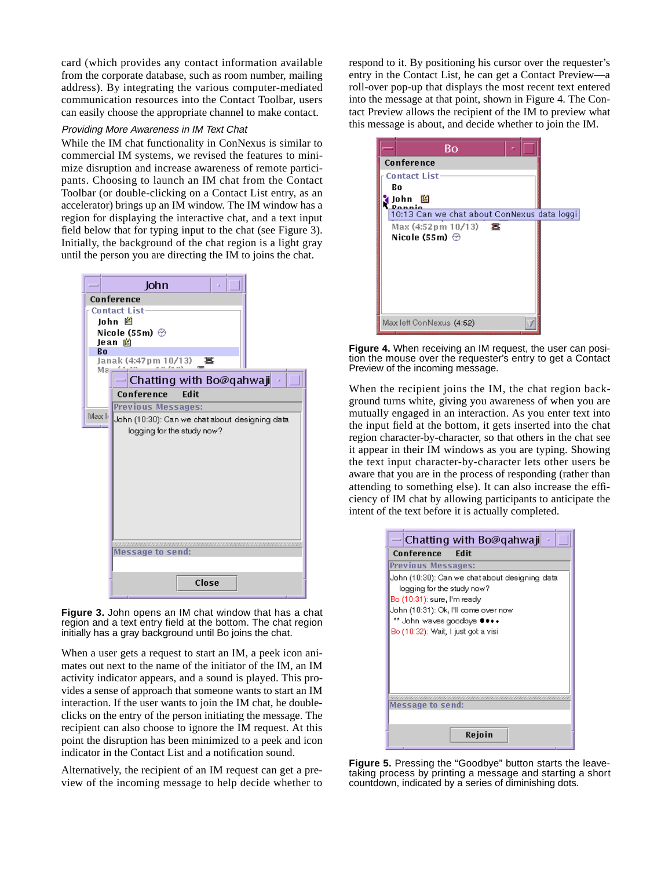card (which provides any contact information available from the corporate database, such as room number, mailing address). By integrating the various computer-mediated communication resources into the Contact Toolbar, users can easily choose the appropriate channel to make contact.

## Providing More Awareness in IM Text Chat

While the IM chat functionality in ConNexus is similar to commercial IM systems, we revised the features to minimize disruption and increase awareness of remote participants. Choosing to launch an IM chat from the Contact Toolbar (or double-clicking on a Contact List entry, as an accelerator) brings up an IM window. The IM window has a region for displaying the interactive chat, and a text input field below that for typing input to the chat (see Figure 3). Initially, the background of the chat region is a light gray until the person you are directing the IM to joins the chat.

|        |                                | John<br>a                                      |  |  |  |
|--------|--------------------------------|------------------------------------------------|--|--|--|
|        |                                | Conference                                     |  |  |  |
|        |                                | <b>Contact List-</b>                           |  |  |  |
|        | John 陷                         |                                                |  |  |  |
|        | Nicole (55m) $\, \circledcirc$ |                                                |  |  |  |
|        | <b>Bo</b>                      | Jean 函                                         |  |  |  |
|        |                                | Janak (4:47pm 10/13)<br>Ξ                      |  |  |  |
|        | Ма                             |                                                |  |  |  |
|        |                                | Chatting with Bo@qahwaji                       |  |  |  |
|        |                                | Conference<br>Edit                             |  |  |  |
|        |                                | <b>Previous Messages:</b>                      |  |  |  |
| Max li |                                | John (10:30): Can we chat about designing data |  |  |  |
|        |                                | logging for the study now?                     |  |  |  |
|        |                                |                                                |  |  |  |
|        |                                |                                                |  |  |  |
|        |                                |                                                |  |  |  |
|        |                                |                                                |  |  |  |
|        |                                |                                                |  |  |  |
|        |                                |                                                |  |  |  |
|        |                                |                                                |  |  |  |
|        |                                |                                                |  |  |  |
|        |                                |                                                |  |  |  |
|        |                                | Message to send:                               |  |  |  |
|        |                                |                                                |  |  |  |
|        |                                | Close                                          |  |  |  |
|        |                                |                                                |  |  |  |

**Figure 3.** John opens an IM chat window that has a chat region and a text entry field at the bottom. The chat region initially has a gray background until Bo joins the chat.

When a user gets a request to start an IM, a peek icon animates out next to the name of the initiator of the IM, an IM activity indicator appears, and a sound is played. This provides a sense of approach that someone wants to start an IM interaction. If the user wants to join the IM chat, he doubleclicks on the entry of the person initiating the message. The recipient can also choose to ignore the IM request. At this point the disruption has been minimized to a peek and icon indicator in the Contact List and a notification sound.

Alternatively, the recipient of an IM request can get a preview of the incoming message to help decide whether to

respond to it. By positioning his cursor over the requester's entry in the Contact List, he can get a Contact Preview—a roll-over pop-up that displays the most recent text entered into the message at that point, shown in Figure 4. The Contact Preview allows the recipient of the IM to preview what this message is about, and decide whether to join the IM.



**Figure 4.** When receiving an IM request, the user can position the mouse over the requester's entry to get a Contact Preview of the incoming message.

When the recipient joins the IM, the chat region background turns white, giving you awareness of when you are mutually engaged in an interaction. As you enter text into the input field at the bottom, it gets inserted into the chat region character-by-character, so that others in the chat see it appear in their IM windows as you are typing. Showing the text input character-by-character lets other users be aware that you are in the process of responding (rather than attending to something else). It can also increase the efficiency of IM chat by allowing participants to anticipate the intent of the text before it is actually completed.

| — Chatting with Bo@qahwaji<br>E.                                                                             |  |  |  |  |
|--------------------------------------------------------------------------------------------------------------|--|--|--|--|
| Conference Edit                                                                                              |  |  |  |  |
| Previous Messages:                                                                                           |  |  |  |  |
| John (10:30): Can we chat about designing data<br>logging for the study now?<br>Bo (10:31): sure, I'm ready. |  |  |  |  |
| John (10:31): Ok, I'll come over now.                                                                        |  |  |  |  |
| ** John waves goodbye @@@@                                                                                   |  |  |  |  |
| Bo (10:32): Wait, I just got a visi                                                                          |  |  |  |  |
|                                                                                                              |  |  |  |  |
| Message to send:                                                                                             |  |  |  |  |
|                                                                                                              |  |  |  |  |
| Rejoin                                                                                                       |  |  |  |  |

**Figure 5.** Pressing the "Goodbye" button starts the leavetaking process by printing a message and starting a short countdown, indicated by a series of diminishing dots.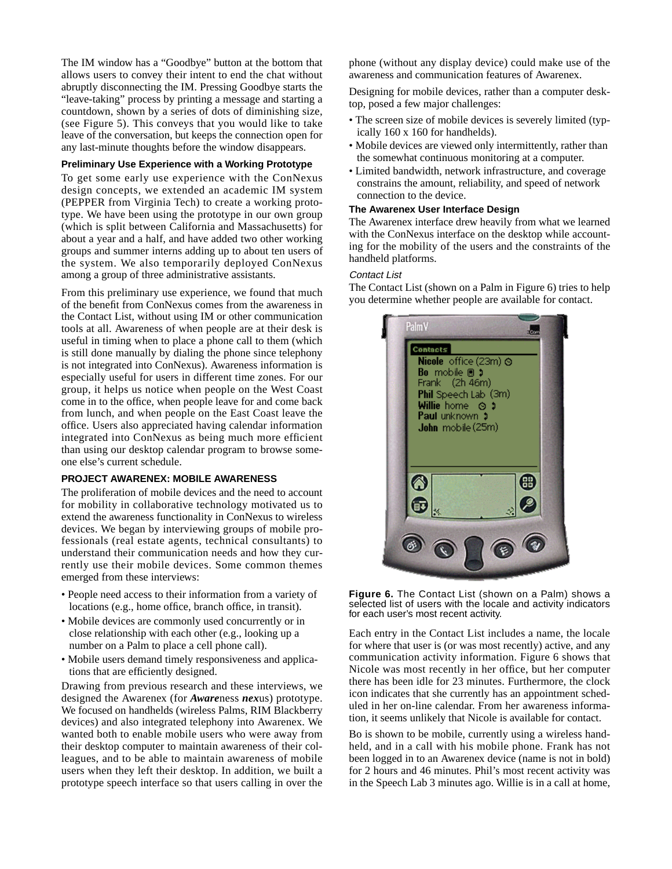The IM window has a "Goodbye" button at the bottom that allows users to convey their intent to end the chat without abruptly disconnecting the IM. Pressing Goodbye starts the "leave-taking" process by printing a message and starting a countdown, shown by a series of dots of diminishing size, (see Figure 5). This conveys that you would like to take leave of the conversation, but keeps the connection open for any last-minute thoughts before the window disappears.

## **Preliminary Use Experience with a Working Prototype**

To get some early use experience with the ConNexus design concepts, we extended an academic IM system (PEPPER from Virginia Tech) to create a working prototype. We have been using the prototype in our own group (which is split between California and Massachusetts) for about a year and a half, and have added two other working groups and summer interns adding up to about ten users of the system. We also temporarily deployed ConNexus among a group of three administrative assistants.

From this preliminary use experience, we found that much of the benefit from ConNexus comes from the awareness in the Contact List, without using IM or other communication tools at all. Awareness of when people are at their desk is useful in timing when to place a phone call to them (which is still done manually by dialing the phone since telephony is not integrated into ConNexus). Awareness information is especially useful for users in different time zones. For our group, it helps us notice when people on the West Coast come in to the office, when people leave for and come back from lunch, and when people on the East Coast leave the office. Users also appreciated having calendar information integrated into ConNexus as being much more efficient than using our desktop calendar program to browse someone else's current schedule.

#### **PROJECT AWARENEX: MOBILE AWARENESS**

The proliferation of mobile devices and the need to account for mobility in collaborative technology motivated us to extend the awareness functionality in ConNexus to wireless devices. We began by interviewing groups of mobile professionals (real estate agents, technical consultants) to understand their communication needs and how they currently use their mobile devices. Some common themes emerged from these interviews:

- People need access to their information from a variety of locations (e.g., home office, branch office, in transit).
- Mobile devices are commonly used concurrently or in close relationship with each other (e.g., looking up a number on a Palm to place a cell phone call).
- Mobile users demand timely responsiveness and applications that are efficiently designed.

Drawing from previous research and these interviews, we designed the Awarenex (for *Aware*ness *nex*us) prototype. We focused on handhelds (wireless Palms, RIM Blackberry devices) and also integrated telephony into Awarenex. We wanted both to enable mobile users who were away from their desktop computer to maintain awareness of their colleagues, and to be able to maintain awareness of mobile users when they left their desktop. In addition, we built a prototype speech interface so that users calling in over the

phone (without any display device) could make use of the awareness and communication features of Awarenex.

Designing for mobile devices, rather than a computer desktop, posed a few major challenges:

- The screen size of mobile devices is severely limited (typically 160 x 160 for handhelds).
- Mobile devices are viewed only intermittently, rather than the somewhat continuous monitoring at a computer.
- Limited bandwidth, network infrastructure, and coverage constrains the amount, reliability, and speed of network connection to the device.

#### **The Awarenex User Interface Design**

The Awarenex interface drew heavily from what we learned with the ConNexus interface on the desktop while accounting for the mobility of the users and the constraints of the handheld platforms.

#### Contact List

The Contact List (shown on a Palm in Figure 6) tries to help you determine whether people are available for contact.



**Figure 6.** The Contact List (shown on a Palm) shows a selected list of users with the locale and activity indicators for each user's most recent activity.

Each entry in the Contact List includes a name, the locale for where that user is (or was most recently) active, and any communication activity information. Figure 6 shows that Nicole was most recently in her office, but her computer there has been idle for 23 minutes. Furthermore, the clock icon indicates that she currently has an appointment scheduled in her on-line calendar. From her awareness information, it seems unlikely that Nicole is available for contact.

Bo is shown to be mobile, currently using a wireless handheld, and in a call with his mobile phone. Frank has not been logged in to an Awarenex device (name is not in bold) for 2 hours and 46 minutes. Phil's most recent activity was in the Speech Lab 3 minutes ago. Willie is in a call at home,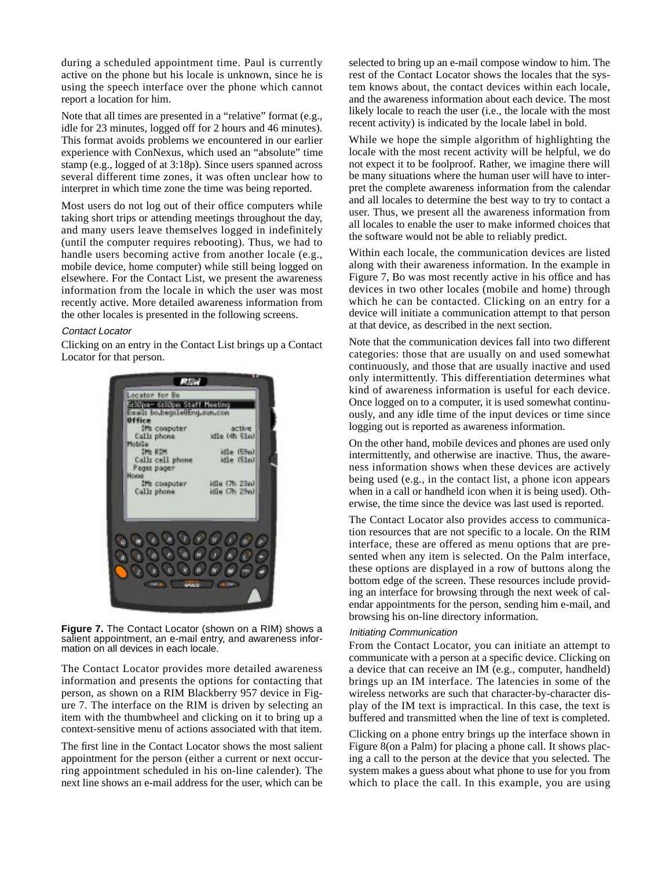during a scheduled appointment time. Paul is currently active on the phone but his locale is unknown, since he is using the speech interface over the phone which cannot report a location for him.

Note that all times are presented in a "relative" format (e.g., idle for 23 minutes, logged off for 2 hours and 46 minutes). This format avoids problems we encountered in our earlier experience with ConNexus, which used an "absolute" time stamp (e.g., logged of at 3:18p). Since users spanned across several different time zones, it was often unclear how to interpret in which time zone the time was being reported.

Most users do not log out of their office computers while taking short trips or attending meetings throughout the day, and many users leave themselves logged in indefinitely (until the computer requires rebooting). Thus, we had to handle users becoming active from another locale (e.g., mobile device, home computer) while still being logged on elsewhere. For the Contact List, we present the awareness information from the locale in which the user was most recently active. More detailed awareness information from the other locales is presented in the following screens.

## Contact Locator

Clicking on an entry in the Contact List brings up a Contact Locator for that person.



**Figure 7.** The Contact Locator (shown on a RIM) shows a salient appointment, an e-mail entry, and awareness information on all devices in each locale.

The Contact Locator provides more detailed awareness information and presents the options for contacting that person, as shown on a RIM Blackberry 957 device in Figure 7. The interface on the RIM is driven by selecting an item with the thumbwheel and clicking on it to bring up a context-sensitive menu of actions associated with that item.

The first line in the Contact Locator shows the most salient appointment for the person (either a current or next occurring appointment scheduled in his on-line calender). The next line shows an e-mail address for the user, which can be

selected to bring up an e-mail compose window to him. The rest of the Contact Locator shows the locales that the system knows about, the contact devices within each locale, and the awareness information about each device. The most likely locale to reach the user (i.e., the locale with the most recent activity) is indicated by the locale label in bold.

While we hope the simple algorithm of highlighting the locale with the most recent activity will be helpful, we do not expect it to be foolproof. Rather, we imagine there will be many situations where the human user will have to interpret the complete awareness information from the calendar and all locales to determine the best way to try to contact a user. Thus, we present all the awareness information from all locales to enable the user to make informed choices that the software would not be able to reliably predict.

Within each locale, the communication devices are listed along with their awareness information. In the example in Figure 7, Bo was most recently active in his office and has devices in two other locales (mobile and home) through which he can be contacted. Clicking on an entry for a device will initiate a communication attempt to that person at that device, as described in the next section.

Note that the communication devices fall into two different categories: those that are usually on and used somewhat continuously, and those that are usually inactive and used only intermittently. This differentiation determines what kind of awareness information is useful for each device. Once logged on to a computer, it is used somewhat continuously, and any idle time of the input devices or time since logging out is reported as awareness information.

On the other hand, mobile devices and phones are used only intermittently, and otherwise are inactive. Thus, the awareness information shows when these devices are actively being used (e.g., in the contact list, a phone icon appears when in a call or handheld icon when it is being used). Otherwise, the time since the device was last used is reported.

The Contact Locator also provides access to communication resources that are not specific to a locale. On the RIM interface, these are offered as menu options that are presented when any item is selected. On the Palm interface, these options are displayed in a row of buttons along the bottom edge of the screen. These resources include providing an interface for browsing through the next week of calendar appointments for the person, sending him e-mail, and browsing his on-line directory information.

#### Initiating Communication

From the Contact Locator, you can initiate an attempt to communicate with a person at a specific device. Clicking on a device that can receive an IM (e.g., computer, handheld) brings up an IM interface. The latencies in some of the wireless networks are such that character-by-character display of the IM text is impractical. In this case, the text is buffered and transmitted when the line of text is completed.

Clicking on a phone entry brings up the interface shown in Figure 8(on a Palm) for placing a phone call. It shows placing a call to the person at the device that you selected. The system makes a guess about what phone to use for you from which to place the call. In this example, you are using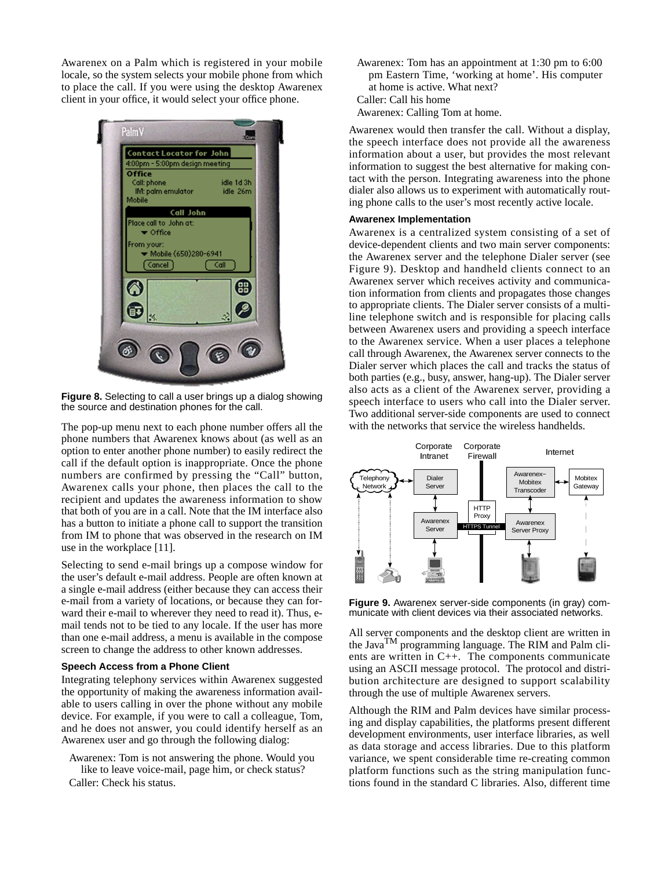Awarenex on a Palm which is registered in your mobile locale, so the system selects your mobile phone from which to place the call. If you were using the desktop Awarenex client in your office, it would select your office phone.



**Figure 8.** Selecting to call a user brings up a dialog showing the source and destination phones for the call.

The pop-up menu next to each phone number offers all the phone numbers that Awarenex knows about (as well as an option to enter another phone number) to easily redirect the call if the default option is inappropriate. Once the phone numbers are confirmed by pressing the "Call" button, Awarenex calls your phone, then places the call to the recipient and updates the awareness information to show that both of you are in a call. Note that the IM interface also has a button to initiate a phone call to support the transition from IM to phone that was observed in the research on IM use in the workplace [11].

Selecting to send e-mail brings up a compose window for the user's default e-mail address. People are often known at a single e-mail address (either because they can access their e-mail from a variety of locations, or because they can forward their e-mail to wherever they need to read it). Thus, email tends not to be tied to any locale. If the user has more than one e-mail address, a menu is available in the compose screen to change the address to other known addresses.

# **Speech Access from a Phone Client**

Integrating telephony services within Awarenex suggested the opportunity of making the awareness information available to users calling in over the phone without any mobile device. For example, if you were to call a colleague, Tom, and he does not answer, you could identify herself as an Awarenex user and go through the following dialog:

Awarenex: Tom is not answering the phone. Would you like to leave voice-mail, page him, or check status? Caller: Check his status.

Awarenex: Tom has an appointment at 1:30 pm to 6:00 pm Eastern Time, 'working at home'. His computer at home is active. What next? Caller: Call his home

Awarenex: Calling Tom at home.

Awarenex would then transfer the call. Without a display, the speech interface does not provide all the awareness information about a user, but provides the most relevant information to suggest the best alternative for making contact with the person. Integrating awareness into the phone dialer also allows us to experiment with automatically routing phone calls to the user's most recently active locale.

#### **Awarenex Implementation**

Awarenex is a centralized system consisting of a set of device-dependent clients and two main server components: the Awarenex server and the telephone Dialer server (see Figure 9). Desktop and handheld clients connect to an Awarenex server which receives activity and communication information from clients and propagates those changes to appropriate clients. The Dialer server consists of a multiline telephone switch and is responsible for placing calls between Awarenex users and providing a speech interface to the Awarenex service. When a user places a telephone call through Awarenex, the Awarenex server connects to the Dialer server which places the call and tracks the status of both parties (e.g., busy, answer, hang-up). The Dialer server also acts as a client of the Awarenex server, providing a speech interface to users who call into the Dialer server. Two additional server-side components are used to connect with the networks that service the wireless handhelds.



**Figure 9.** Awarenex server-side components (in gray) communicate with client devices via their associated networks.

All server components and the desktop client are written in the Java<sup>TM</sup> programming language. The RIM and Palm clients are written in C++. The components communicate using an ASCII message protocol. The protocol and distribution architecture are designed to support scalability through the use of multiple Awarenex servers.

Although the RIM and Palm devices have similar processing and display capabilities, the platforms present different development environments, user interface libraries, as well as data storage and access libraries. Due to this platform variance, we spent considerable time re-creating common platform functions such as the string manipulation functions found in the standard C libraries. Also, different time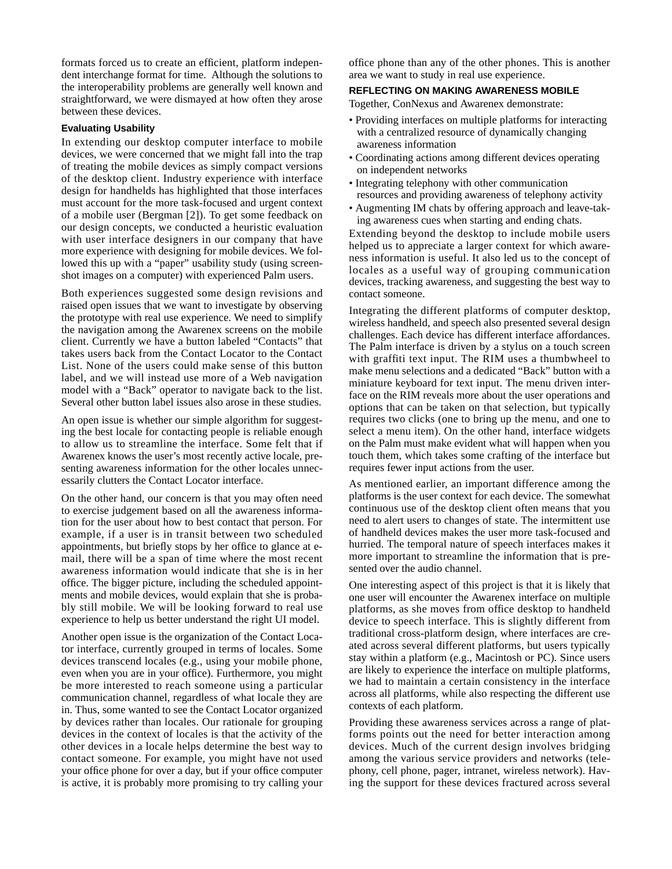formats forced us to create an efficient, platform independent interchange format for time. Although the solutions to the interoperability problems are generally well known and straightforward, we were dismayed at how often they arose between these devices.

# **Evaluating Usability**

In extending our desktop computer interface to mobile devices, we were concerned that we might fall into the trap of treating the mobile devices as simply compact versions of the desktop client. Industry experience with interface design for handhelds has highlighted that those interfaces must account for the more task-focused and urgent context of a mobile user (Bergman [2]). To get some feedback on our design concepts, we conducted a heuristic evaluation with user interface designers in our company that have more experience with designing for mobile devices. We followed this up with a "paper" usability study (using screenshot images on a computer) with experienced Palm users.

Both experiences suggested some design revisions and raised open issues that we want to investigate by observing the prototype with real use experience. We need to simplify the navigation among the Awarenex screens on the mobile client. Currently we have a button labeled "Contacts" that takes users back from the Contact Locator to the Contact List. None of the users could make sense of this button label, and we will instead use more of a Web navigation model with a "Back" operator to navigate back to the list. Several other button label issues also arose in these studies.

An open issue is whether our simple algorithm for suggesting the best locale for contacting people is reliable enough to allow us to streamline the interface. Some felt that if Awarenex knows the user's most recently active locale, presenting awareness information for the other locales unnecessarily clutters the Contact Locator interface.

On the other hand, our concern is that you may often need to exercise judgement based on all the awareness information for the user about how to best contact that person. For example, if a user is in transit between two scheduled appointments, but briefly stops by her office to glance at email, there will be a span of time where the most recent awareness information would indicate that she is in her office. The bigger picture, including the scheduled appointments and mobile devices, would explain that she is probably still mobile. We will be looking forward to real use experience to help us better understand the right UI model.

Another open issue is the organization of the Contact Locator interface, currently grouped in terms of locales. Some devices transcend locales (e.g., using your mobile phone, even when you are in your office). Furthermore, you might be more interested to reach someone using a particular communication channel, regardless of what locale they are in. Thus, some wanted to see the Contact Locator organized by devices rather than locales. Our rationale for grouping devices in the context of locales is that the activity of the other devices in a locale helps determine the best way to contact someone. For example, you might have not used your office phone for over a day, but if your office computer is active, it is probably more promising to try calling your

office phone than any of the other phones. This is another area we want to study in real use experience.

# **REFLECTING ON MAKING AWARENESS MOBILE**

Together, ConNexus and Awarenex demonstrate:

- Providing interfaces on multiple platforms for interacting with a centralized resource of dynamically changing awareness information
- Coordinating actions among different devices operating on independent networks
- Integrating telephony with other communication resources and providing awareness of telephony activity
- Augmenting IM chats by offering approach and leave-taking awareness cues when starting and ending chats.

Extending beyond the desktop to include mobile users helped us to appreciate a larger context for which awareness information is useful. It also led us to the concept of locales as a useful way of grouping communication devices, tracking awareness, and suggesting the best way to contact someone.

Integrating the different platforms of computer desktop, wireless handheld, and speech also presented several design challenges. Each device has different interface affordances. The Palm interface is driven by a stylus on a touch screen with graffiti text input. The RIM uses a thumbwheel to make menu selections and a dedicated "Back" button with a miniature keyboard for text input. The menu driven interface on the RIM reveals more about the user operations and options that can be taken on that selection, but typically requires two clicks (one to bring up the menu, and one to select a menu item). On the other hand, interface widgets on the Palm must make evident what will happen when you touch them, which takes some crafting of the interface but requires fewer input actions from the user.

As mentioned earlier, an important difference among the platforms is the user context for each device. The somewhat continuous use of the desktop client often means that you need to alert users to changes of state. The intermittent use of handheld devices makes the user more task-focused and hurried. The temporal nature of speech interfaces makes it more important to streamline the information that is presented over the audio channel.

One interesting aspect of this project is that it is likely that one user will encounter the Awarenex interface on multiple platforms, as she moves from office desktop to handheld device to speech interface. This is slightly different from traditional cross-platform design, where interfaces are created across several different platforms, but users typically stay within a platform (e.g., Macintosh or PC). Since users are likely to experience the interface on multiple platforms, we had to maintain a certain consistency in the interface across all platforms, while also respecting the different use contexts of each platform.

Providing these awareness services across a range of platforms points out the need for better interaction among devices. Much of the current design involves bridging among the various service providers and networks (telephony, cell phone, pager, intranet, wireless network). Having the support for these devices fractured across several